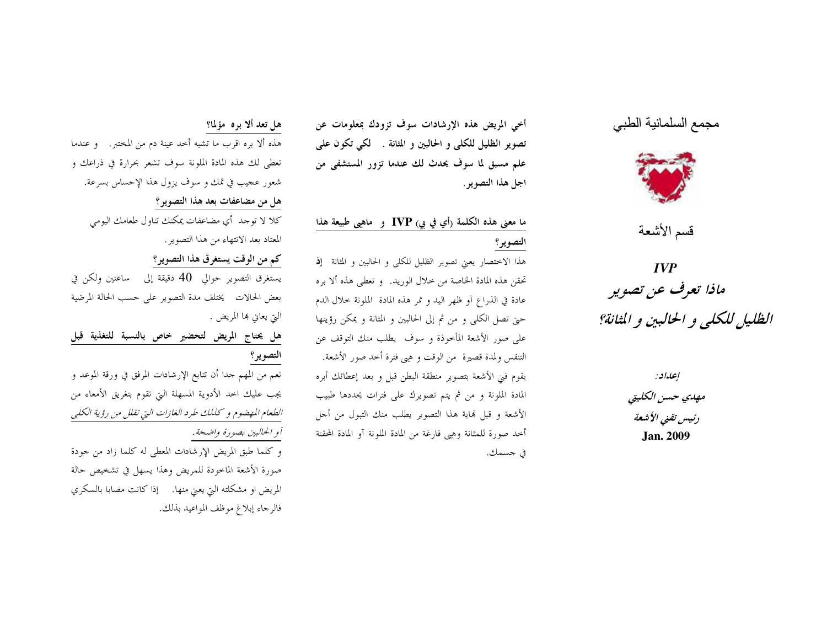# مجمع السلمانية الطبي



قسم الأشعة

 $IVP$ ماذا تعرف عن تصوير الظليل للكلي و الحالبين و المثانة؟

إعداد:

مهلاي حسن الكليتي رئيس تقنى الأشعة **Jan. 2009** 

أخى المريض هذه الإرشادات سوف تزودك بمعلومات عن تصوير الظليل للكلي و الحالبين و المثانة . لكي تكون علمي علم مسبق لما سوف يحدث لك عندما تزور المستشفى من اجل هذا التصوير .

# ما معنى هذه الكلمة (أي في بي) IVP و ماهيي طبيعة هذا التصوير؟

هذا الاختصار يعني تصوير الظليل للكلي و الحالبين و المثانة إف تحقن هذه المادة الخاصة من حلال الوريد. و تعطي هذه ألا بره عادة في الذراع أو ظهر اليد و تمر هذه المادة الملونة حلال الدم حتى تصل الكلَّى و من ثم إلى الحالبين و المثانة و يمكن رؤيتها على صور الأشعة المأخوذة و سوف يطلب منك التوقف عن التنفس ولمدة قصيرة ً من الوقت و هيي فترة أحد صور الأشعة. يقوم فني الأشعة بتصوير منطقة البطن قبل و بعد إعطائك أبره المادة الملونة و من ثم يتم تصويرك على فترات يحددها طبيب الأشعة و قبل لهاية هذا التصوير يطلب منك التبول من أجل أحد صورة للمثانة وهيي فارغة من المادة الملونة آو المادة المحقنة في جسمك.

#### هل تعد ألا بره مؤلما؟

هذه ألا بره اقرب ما تشبه أحد عينة دم من المختبر. ﴿ عِندما تعطي لك هذه المادة الملونة سوف تشعر بحرارة في ذراعك و شعور عجيب في ثمك و سوف يزول هذا الإحساس بسرعة. هل من مضاعفات بعد هذا التصوير؟

كلا لا توجد أي مضاعفات يمكنك تناول طعامك اليومي المعتاد بعد الانتهاء من هذا التصوير .

## كم من الوقت يستغرق هذا التصوير؟

يستغرق التصوير حوالي 40 دقيقة إلى ساعتين ولكن في بعض الحالات يختلف مدة التصوير على حسب الحالة المرضية التي يعاني ها المريض .

# هل يحتاج المريض لتحضير خاص بالنسبة للتغذية قبل التصوير؟

نعم من المهم جدا أن تتابع الإرشادات المرفق في ورقة الموعد و يجب عليك احد الأدوية المسهلة التي تقوم بتغريق الأمعاء من الطعام المهضوم و كذلك طرد الغازات التي تقلل من رؤية الكلبي آو الحالبين بصورة واضحة.

و كلما طبق المريض الإرشادات المعطي له كلما زاد من جودة صورة الأشعة الماحودة للمريض وهذا يسهل في تشخيص حالة المريض او مشكلته التي يعني منها. ﴿إِذَا كَانَتْ مَصَابًا بِالسَّكْرِي فالرجاء إبلاغ موظف المواعيد بذلك.